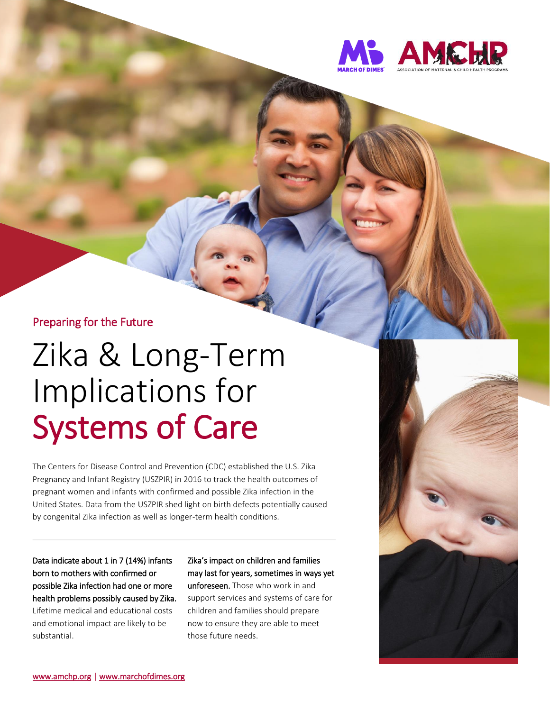

#### Preparing for the Future

# Zika & Long-Term Implications for Systems of Care

The Centers for Disease Control and Prevention (CDC) established the U.S. Zika Pregnancy and Infant Registry (USZPIR) in 2016 to track the health outcomes of pregnant women and infants with confirmed and possible Zika infection in the United States. Data from the USZPIR shed light on birth defects potentially caused by congenital Zika infection as well as longer-term health conditions.

Data indicate about 1 in 7 (14%) infants born to mothers with confirmed or possible Zika infection had one or more health problems possibly caused by Zika. Lifetime medical and educational costs and emotional impact are likely to be

substantial.

Zika's impact on children and families may last for years, sometimes in ways yet unforeseen. Those who work in and support services and systems of care for children and families should prepare now to ensure they are able to meet those future needs.

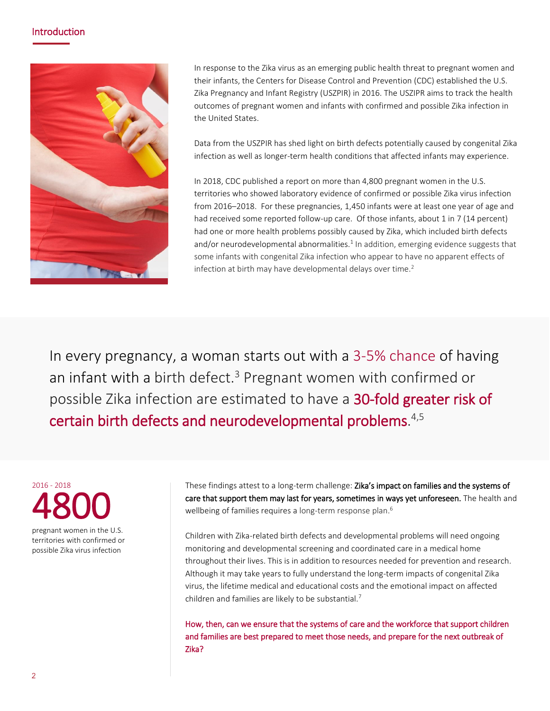#### Introduction



In response to the Zika virus as an emerging public health threat to pregnant women and their infants, the Centers for Disease Control and Prevention (CDC) established the U.S. Zika Pregnancy and Infant Registry (USZPIR) in 2016. The USZIPR aims to track the health outcomes of pregnant women and infants with confirmed and possible Zika infection in the United States.

Data from the USZPIR has shed light on birth defects potentially caused by congenital Zika infection as well as longer-term health conditions that affected infants may experience.

In 2018, CDC published a report on more than 4,800 pregnant women in the U.S. territories who showed laboratory evidence of confirmed or possible Zika virus infection from 2016–2018. For these pregnancies, 1,450 infants were at least one year of age and had received some reported follow-up care. Of those infants, about 1 in 7 (14 percent) had one or more health problems possibly caused by Zika, which included birth defects and/or neurodevelopmental abnormalities. $1$  In addition, emerging evidence suggests that some infants with congenital Zika infection who appear to have no apparent effects of infection at birth may have developmental delays over time.<sup>2</sup>

In every pregnancy, a woman starts out with a 3-5% chance of having an infant with a birth defect. <sup>3</sup> Pregnant women with confirmed or possible Zika infection are estimated to have a 30-fold greater risk of certain birth defects and neurodevelopmental problems. 4,5

2016 - 2018 4800 pregnant women in the U.S.

territories with confirmed or possible Zika virus infection

These findings attest to a long-term challenge: Zika's impact on families and the systems of care that support them may last for years, sometimes in ways yet unforeseen. The health and wellbeing of families requires a long-term response plan.<sup>6</sup>

Children with Zika-related birth defects and developmental problems will need ongoing monitoring and developmental screening and coordinated care in a medical home throughout their lives. This is in addition to resources needed for prevention and research. Although it may take years to fully understand the long-term impacts of congenital Zika virus, the lifetime medical and educational costs and the emotional impact on affected children and families are likely to be substantial.<sup>7</sup>

How, then, can we ensure that the systems of care and the workforce that support children and families are best prepared to meet those needs, and prepare for the next outbreak of Zika?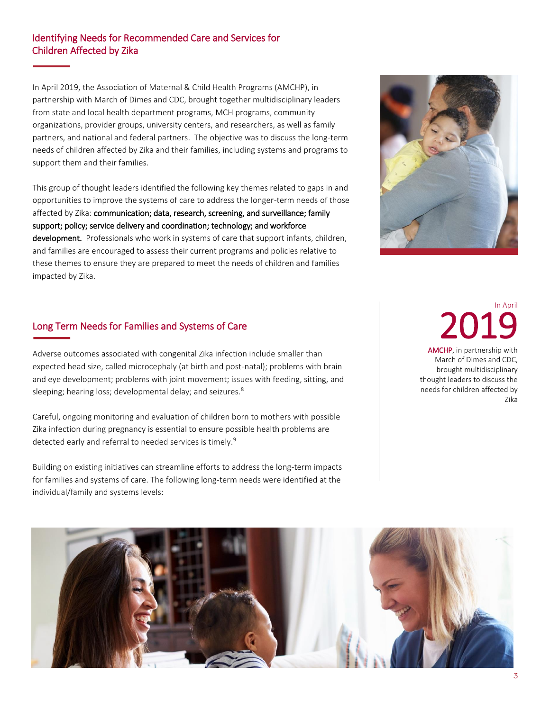#### Identifying Needs for Recommended Care and Services for Children Affected by Zika

I.

In April 2019, the Association of Maternal & Child Health Programs (AMCHP), in partnership with March of Dimes and CDC, brought together multidisciplinary leaders from state and local health department programs, MCH programs, community organizations, provider groups, university centers, and researchers, as well as family partners, and national and federal partners. The objective was to discuss the long-term needs of children affected by Zika and their families, including systems and programs to support them and their families.

This group of thought leaders identified the following key themes related to gaps in and opportunities to improve the systems of care to address the longer-term needs of those affected by Zika: communication; data, research, screening, and surveillance; family support; policy; service delivery and coordination; technology; and workforce development. Professionals who work in systems of care that support infants, children, and families are encouraged to assess their current programs and policies relative to these themes to ensure they are prepared to meet the needs of children and families impacted by Zika.



#### Long Term Needs for Families and Systems of Care

Adverse outcomes associated with congenital Zika infection include smaller than expected head size, called microcephaly (at birth and post-natal); problems with brain and eye development; problems with joint movement; issues with feeding, sitting, and sleeping; hearing loss; developmental delay; and seizures.<sup>8</sup>

Careful, ongoing monitoring and evaluation of children born to mothers with possible Zika infection during pregnancy is essential to ensure possible health problems are detected early and referral to needed services is timely.<sup>9</sup>

Building on existing initiatives can streamline efforts to address the long-term impacts for families and systems of care. The following long-term needs were identified at the individual/family and systems levels:

# In April 2019

AMCHP, in partnership with March of Dimes and CDC, brought multidisciplinary thought leaders to discuss the needs for children affected by Zika

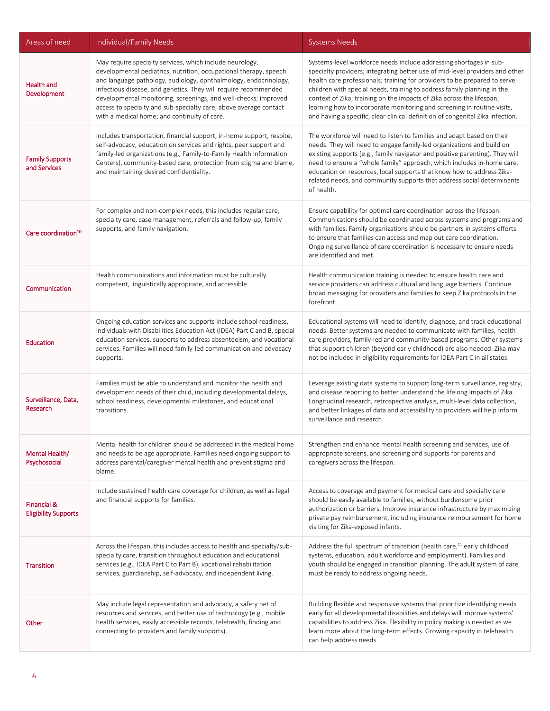| Areas of need                              | Individual/Family Needs                                                                                                                                                                                                                                                                                                                                                                                                                                      | <b>Systems Needs</b>                                                                                                                                                                                                                                                                                                                                                                                                                                                                                                                             |
|--------------------------------------------|--------------------------------------------------------------------------------------------------------------------------------------------------------------------------------------------------------------------------------------------------------------------------------------------------------------------------------------------------------------------------------------------------------------------------------------------------------------|--------------------------------------------------------------------------------------------------------------------------------------------------------------------------------------------------------------------------------------------------------------------------------------------------------------------------------------------------------------------------------------------------------------------------------------------------------------------------------------------------------------------------------------------------|
| <b>Health and</b><br>Development           | May require specialty services, which include neurology,<br>developmental pediatrics, nutrition, occupational therapy, speech<br>and language pathology, audiology, ophthalmology, endocrinology,<br>infectious disease, and genetics. They will require recommended<br>developmental monitoring, screenings, and well-checks; improved<br>access to specialty and sub-specialty care; above average contact<br>with a medical home; and continuity of care. | Systems-level workforce needs include addressing shortages in sub-<br>specialty providers; integrating better use of mid-level providers and other<br>health care professionals; training for providers to be prepared to serve<br>children with special needs, training to address family planning in the<br>context of Zika; training on the impacts of Zika across the lifespan;<br>learning how to incorporate monitoring and screening in routine visits,<br>and having a specific, clear clinical definition of congenital Zika infection. |
| <b>Family Supports</b><br>and Services     | Includes transportation, financial support, in-home support, respite,<br>self-advocacy, education on services and rights, peer support and<br>family-led organizations (e.g., Family-to-Family Health Information<br>Centers), community-based care, protection from stigma and blame,<br>and maintaining desired confidentiality.                                                                                                                           | The workforce will need to listen to families and adapt based on their<br>needs. They will need to engage family-led organizations and build on<br>existing supports (e.g., family navigator and positive parenting). They will<br>need to ensure a "whole family" approach, which includes in-home care,<br>education on resources, local supports that know how to address Zika-<br>related needs, and community supports that address social determinants<br>of health.                                                                       |
| Care coordination <sup>10</sup>            | For complex and non-complex needs, this includes regular care,<br>specialty care, case management, referrals and follow-up, family<br>supports, and family navigation.                                                                                                                                                                                                                                                                                       | Ensure capability for optimal care coordination across the lifespan.<br>Communications should be coordinated across systems and programs and<br>with families. Family organizations should be partners in systems efforts<br>to ensure that families can access and map out care coordination.<br>Ongoing surveillance of care coordination is necessary to ensure needs<br>are identified and met.                                                                                                                                              |
| Communication                              | Health communications and information must be culturally<br>competent, linguistically appropriate, and accessible.                                                                                                                                                                                                                                                                                                                                           | Health communication training is needed to ensure health care and<br>service providers can address cultural and language barriers. Continue<br>broad messaging for providers and families to keep Zika protocols in the<br>forefront.                                                                                                                                                                                                                                                                                                            |
| Education                                  | Ongoing education services and supports include school readiness,<br>Individuals with Disabilities Education Act (IDEA) Part C and B, special<br>education services, supports to address absenteeism, and vocational<br>services. Families will need family-led communication and advocacy<br>supports.                                                                                                                                                      | Educational systems will need to identify, diagnose, and track educational<br>needs. Better systems are needed to communicate with families, health<br>care providers, family-led and community-based programs. Other systems<br>that support children (beyond early childhood) are also needed. Zika may<br>not be included in eligibility requirements for IDEA Part C in all states.                                                                                                                                                          |
| Surveillance, Data,<br>Research            | Families must be able to understand and monitor the health and<br>development needs of their child, including developmental delays,<br>school readiness, developmental milestones, and educational<br>transitions.                                                                                                                                                                                                                                           | Leverage existing data systems to support long-term surveillance, registry,<br>and disease reporting to better understand the lifelong impacts of Zika.<br>Longitudinal research, retrospective analysis, multi-level data collection,<br>and better linkages of data and accessibility to providers will help inform<br>surveillance and research.                                                                                                                                                                                              |
| Mental Health/<br>Psychosocial             | Mental health for children should be addressed in the medical home<br>and needs to be age appropriate. Families need ongoing support to<br>address parental/caregiver mental health and prevent stigma and<br>blame.                                                                                                                                                                                                                                         | Strengthen and enhance mental health screening and services, use of<br>appropriate screens, and screening and supports for parents and<br>caregivers across the lifespan.                                                                                                                                                                                                                                                                                                                                                                        |
| Financial &<br><b>Eligibility Supports</b> | Include sustained health care coverage for children, as well as legal<br>and financial supports for families.                                                                                                                                                                                                                                                                                                                                                | Access to coverage and payment for medical care and specialty care<br>should be easily available to families, without burdensome prior<br>authorization or barriers. Improve insurance infrastructure by maximizing<br>private pay reimbursement, including insurance reimbursement for home<br>visiting for Zika-exposed infants.                                                                                                                                                                                                               |
| <b>Transition</b>                          | Across the lifespan, this includes access to health and specialty/sub-<br>specialty care, transition throughout education and educational<br>services (e.g., IDEA Part C to Part B), vocational rehabilitation<br>services, guardianship, self-advocacy, and independent living.                                                                                                                                                                             | Address the full spectrum of transition (health care, <sup>11</sup> early childhood<br>systems, education, adult workforce and employment). Families and<br>youth should be engaged in transition planning. The adult system of care<br>must be ready to address ongoing needs.                                                                                                                                                                                                                                                                  |
| Other                                      | May include legal representation and advocacy, a safety net of<br>resources and services, and better use of technology (e.g., mobile<br>health services, easily accessible records, telehealth, finding and<br>connecting to providers and family supports).                                                                                                                                                                                                 | Building flexible and responsive systems that prioritize identifying needs<br>early for all developmental disabilities and delays will improve systems'<br>capabilities to address Zika. Flexibility in policy making is needed as we<br>learn more about the long-term effects. Growing capacity in telehealth<br>can help address needs.                                                                                                                                                                                                       |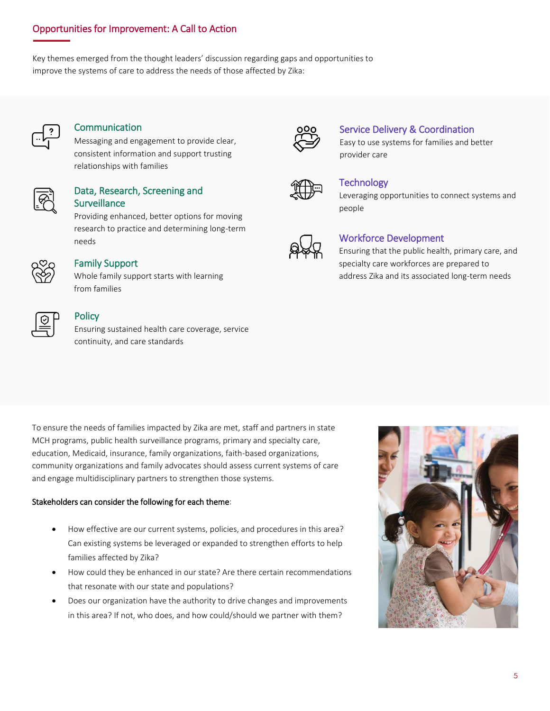#### Opportunities for Improvement: A Call to Action

Key themes emerged from the thought leaders' discussion regarding gaps and opportunities to improve the systems of care to address the needs of those affected by Zika:



#### **Communication**

Messaging and engagement to provide clear, consistent information and support trusting relationships with families



#### Data, Research, Screening and **Surveillance**

Providing enhanced, better options for moving research to practice and determining long-term needs



#### Family Support

Whole family support starts with learning from families



#### **Policy**

Ensuring sustained health care coverage, service continuity, and care standards



#### Service Delivery & Coordination

Easy to use systems for families and better provider care



#### **Technology**

Leveraging opportunities to connect systems and people



#### Workforce Development

Ensuring that the public health, primary care, and specialty care workforces are prepared to address Zika and its associated long-term needs

To ensure the needs of families impacted by Zika are met, staff and partners in state MCH programs, public health surveillance programs, primary and specialty care, education, Medicaid, insurance, family organizations, faith-based organizations, community organizations and family advocates should assess current systems of care and engage multidisciplinary partners to strengthen those systems.

#### Stakeholders can consider the following for each theme:

- How effective are our current systems, policies, and procedures in this area? Can existing systems be leveraged or expanded to strengthen efforts to help families affected by Zika?
- How could they be enhanced in our state? Are there certain recommendations that resonate with our state and populations?
- Does our organization have the authority to drive changes and improvements in this area? If not, who does, and how could/should we partner with them?

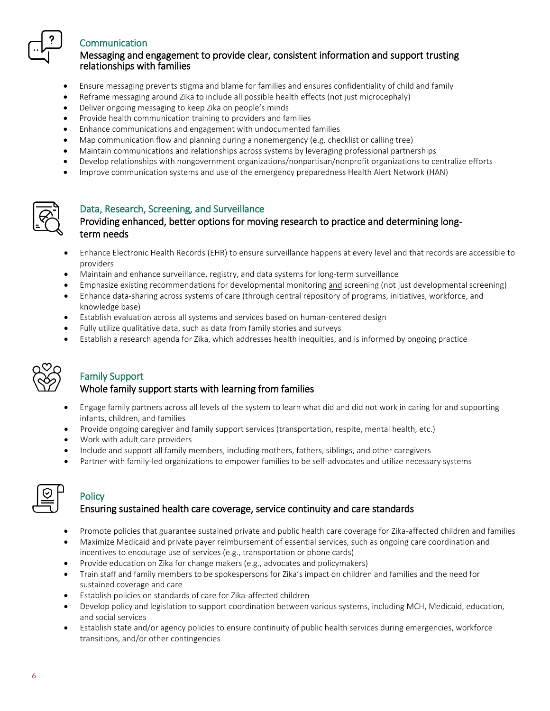

#### Communication

#### Messaging and engagement to provide clear, consistent information and support trusting relationships with families

- Ensure messaging prevents stigma and blame for families and ensures confidentiality of child and family
- Reframe messaging around Zika to include all possible health effects (not just microcephaly)
- Deliver ongoing messaging to keep Zika on people's minds
- Provide health communication training to providers and families
- Enhance communications and engagement with undocumented families
- Map communication flow and planning during a nonemergency (e.g. checklist or calling tree)
- Maintain communications and relationships across systems by leveraging professional partnerships
- Develop relationships with nongovernment organizations/nonpartisan/nonprofit organizations to centralize efforts
- Improve communication systems and use of the emergency preparedness Health Alert Network (HAN)



#### Data, Research, Screening, and Surveillance

#### Providing enhanced, better options for moving research to practice and determining longterm needs

- • Enhance Electronic Health Records (EHR) to ensure surveillance happens at every level and that records are accessible to providers
- Maintain and enhance surveillance, registry, and data systems for long-term surveillance
- Emphasize existing recommendations for developmental monitoring and screening (not just developmental screening)
- Enhance data-sharing across systems of care (through central repository of programs, initiatives, workforce, and knowledge base)
- Establish evaluation across all systems and services based on human-centered design
- Fully utilize qualitative data, such as data from family stories and surveys
- Establish a research agenda for Zika, which addresses health inequities, and is informed by ongoing practice



## Family Support

#### Whole family support starts with learning from families

- • Engage family partners across all levels of the system to learn what did and did not work in caring for and supporting infants, children, and families
- Provide ongoing caregiver and family support services (transportation, respite, mental health, etc.)
- Work with adult care providers
- Include and support all family members, including mothers, fathers, siblings, and other caregivers
- Partner with family-led organizations to empower families to be self-advocates and utilize necessary systems

### **Policy**

#### Ensuring sustained health care coverage, service continuity and care standards

- Promote policies that guarantee sustained private and public health care coverage for Zika-affected children and families
- Maximize Medicaid and private payer reimbursement of essential services, such as ongoing care coordination and incentives to encourage use of services (e.g., transportation or phone cards)
- Provide education on Zika for change makers (e.g., advocates and policymakers)
- Train staff and family members to be spokespersons for Zika's impact on children and families and the need for sustained coverage and care
- Establish policies on standards of care for Zika-affected children
- Develop policy and legislation to support coordination between various systems, including MCH, Medicaid, education, and social services
- Establish state and/or agency policies to ensure continuity of public health services during emergencies, workforce transitions, and/or other contingencies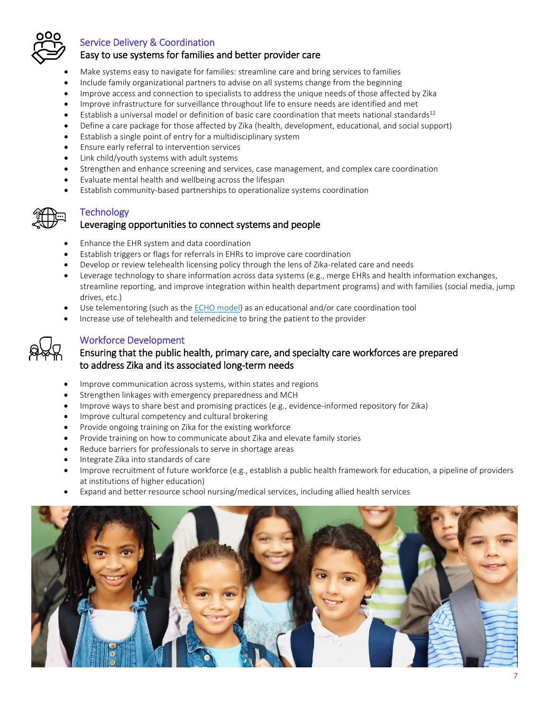

#### Service Delivery & Coordination

#### Easy to use systems for families and better provider care

- Make systems easy to navigate for families: streamline care and bring services to families
- Include family organizational partners to advise on all systems change from the beginning
- Improve access and connection to specialists to address the unique needs of those affected by Zika
- Improve infrastructure for surveillance throughout life to ensure needs are identified and met
- Establish a universal model or definition of basic care coordination that meets national standards $12$
- Define a care package for those affected by Zika (health, development, educational, and social support)
- Establish a single point of entry for a multidisciplinary system
- Ensure early referral to intervention services
- Link child/youth systems with adult systems
- Strengthen and enhance screening and services, case management, and complex care coordination
- Evaluate mental health and wellbeing across the lifespan
- Establish community-based partnerships to operationalize systems coordination

#### **Technology**

#### Leveraging opportunities to connect systems and people

- Enhance the EHR system and data coordination
- Establish triggers or flags for referrals in EHRs to improve care coordination
- Develop or review telehealth licensing policy through the lens of Zika-related care and needs
- Leverage technology to share information across data systems (e.g., merge EHRs and health information exchanges, streamline reporting, and improve integration within health department programs) and with families (social media, jump drives, etc.)
- Use telementoring (such as th[e ECHO model\)](https://echo.unm.edu/) as an educational and/or care coordination tool
- Increase use of telehealth and telemedicine to bring the patient to the provider



#### Workforce Development

#### Ensuring that the public health, primary care, and specialty care workforces are prepared to address Zika and its associated long-term needs

- Improve communication across systems, within states and regions
- Strengthen linkages with emergency preparedness and MCH
- Improve ways to share best and promising practices (e.g., evidence-informed repository for Zika)
- Improve cultural competency and cultural brokering
- Provide ongoing training on Zika for the existing workforce
- Provide training on how to communicate about Zika and elevate family stories
- Reduce barriers for professionals to serve in shortage areas
- Integrate Zika into standards of care
- Improve recruitment of future workforce (e.g., establish a public health framework for education, a pipeline of providers at institutions of higher education)
- Expand and better resource school nursing/medical services, including allied health services